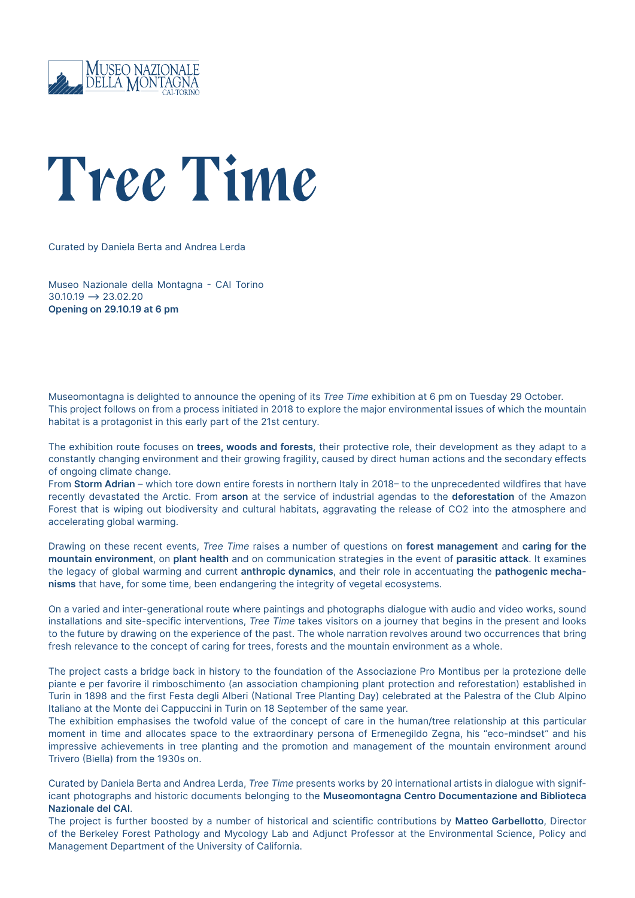

## *Tree Time*

Curated by Daniela Berta and Andrea Lerda

Museo Nazionale della Montagna - CAI Torino  $30.10.19 \rightarrow 23.02.20$ **Opening on 29.10.19 at 6 pm**

Museomontagna is delighted to announce the opening of its *Tree Time* exhibition at 6 pm on Tuesday 29 October. This project follows on from a process initiated in 2018 to explore the major environmental issues of which the mountain habitat is a protagonist in this early part of the 21st century.

The exhibition route focuses on **trees, woods and forests**, their protective role, their development as they adapt to a constantly changing environment and their growing fragility, caused by direct human actions and the secondary effects of ongoing climate change.

From **Storm Adrian** – which tore down entire forests in northern Italy in 2018– to the unprecedented wildfires that have recently devastated the Arctic. From **arson** at the service of industrial agendas to the **deforestation** of the Amazon Forest that is wiping out biodiversity and cultural habitats, aggravating the release of CO2 into the atmosphere and accelerating global warming.

Drawing on these recent events, *Tree Time* raises a number of questions on **forest management** and **caring for the mountain environment**, on **plant health** and on communication strategies in the event of **parasitic attack**. It examines the legacy of global warming and current **anthropic dynamics**, and their role in accentuating the **pathogenic mechanisms** that have, for some time, been endangering the integrity of vegetal ecosystems.

On a varied and inter-generational route where paintings and photographs dialogue with audio and video works, sound installations and site-specific interventions, *Tree Time* takes visitors on a journey that begins in the present and looks to the future by drawing on the experience of the past. The whole narration revolves around two occurrences that bring fresh relevance to the concept of caring for trees, forests and the mountain environment as a whole.

The project casts a bridge back in history to the foundation of the Associazione Pro Montibus per la protezione delle piante e per favorire il rimboschimento (an association championing plant protection and reforestation) established in Turin in 1898 and the first Festa degli Alberi (National Tree Planting Day) celebrated at the Palestra of the Club Alpino Italiano at the Monte dei Cappuccini in Turin on 18 September of the same year.

The exhibition emphasises the twofold value of the concept of care in the human/tree relationship at this particular moment in time and allocates space to the extraordinary persona of Ermenegildo Zegna, his "eco-mindset" and his impressive achievements in tree planting and the promotion and management of the mountain environment around Trivero (Biella) from the 1930s on.

Curated by Daniela Berta and Andrea Lerda, *Tree Time* presents works by 20 international artists in dialogue with significant photographs and historic documents belonging to the **Museomontagna Centro Documentazione and Biblioteca Nazionale del CAI**.

The project is further boosted by a number of historical and scientific contributions by **Matteo Garbellotto**, Director of the Berkeley Forest Pathology and Mycology Lab and Adjunct Professor at the Environmental Science, Policy and Management Department of the University of California.